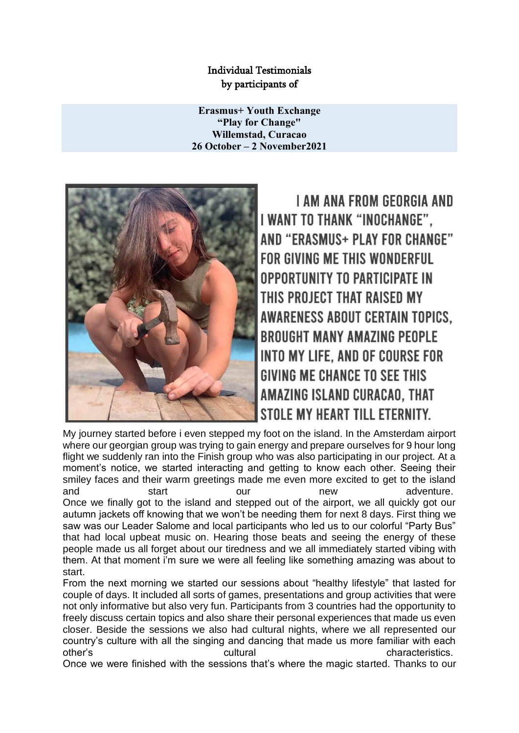## Individual Testimonials by participants of

**Erasmus+ Youth Exchange "Play for Change" Willemstad, Curacao 26 October – 2 November2021**



**I AM ANA FROM GEORGIA AND** I WANT TO THANK "INOCHANGE". AND "ERASMUS+ PLAY FOR CHANGE" FOR GIVING ME THIS WONDERFUL **OPPORTUNITY TO PARTICIPATE IN** THIS PROJECT THAT RAISED MY **AWARENESS ABOUT CERTAIN TOPICS. BROUGHT MANY AMAZING PEOPLE** INTO MY LIFE, AND OF COURSE FOR **GIVING ME CHANCE TO SEE THIS** AMAZING ISLAND CURACAO, THAT STOLE MY HEART TILL ETERNITY.

My journey started before i even stepped my foot on the island. In the Amsterdam airport where our georgian group was trying to gain energy and prepare ourselves for 9 hour long flight we suddenly ran into the Finish group who was also participating in our project. At a moment's notice, we started interacting and getting to know each other. Seeing their smiley faces and their warm greetings made me even more excited to get to the island and start our new adventure. Once we finally got to the island and stepped out of the airport, we all quickly got our autumn jackets off knowing that we won't be needing them for next 8 days. First thing we saw was our Leader Salome and local participants who led us to our colorful "Party Bus" that had local upbeat music on. Hearing those beats and seeing the energy of these people made us all forget about our tiredness and we all immediately started vibing with them. At that moment i'm sure we were all feeling like something amazing was about to start.

From the next morning we started our sessions about "healthy lifestyle" that lasted for couple of days. It included all sorts of games, presentations and group activities that were not only informative but also very fun. Participants from 3 countries had the opportunity to freely discuss certain topics and also share their personal experiences that made us even closer. Beside the sessions we also had cultural nights, where we all represented our country's culture with all the singing and dancing that made us more familiar with each other's cultural cultural characteristics.

Once we were finished with the sessions that's where the magic started. Thanks to our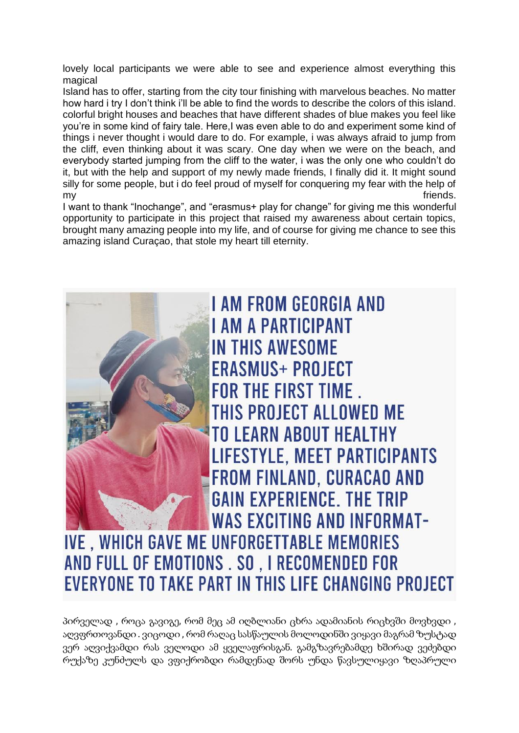lovely local participants we were able to see and experience almost everything this magical

Island has to offer, starting from the city tour finishing with marvelous beaches. No matter how hard i try I don't think i'll be able to find the words to describe the colors of this island. colorful bright houses and beaches that have different shades of blue makes you feel like you're in some kind of fairy tale. Here,I was even able to do and experiment some kind of things i never thought i would dare to do. For example, i was always afraid to jump from the cliff, even thinking about it was scary. One day when we were on the beach, and everybody started jumping from the cliff to the water, i was the only one who couldn't do it, but with the help and support of my newly made friends, I finally did it. It might sound silly for some people, but i do feel proud of myself for conquering my fear with the help of my friends.

I want to thank "Inochange", and "erasmus+ play for change" for giving me this wonderful opportunity to participate in this project that raised my awareness about certain topics, brought many amazing people into my life, and of course for giving me chance to see this amazing island Curaçao, that stole my heart till eternity.



## **IVE, WHICH GAVE ME UNFORGETTABLE MEMORIES** AND FULL OF EMOTIONS . SO, I RECOMENDED FOR **EVERYONE TO TAKE PART IN THIS LIFE CHANGING PROJECT**

პირველად , როცა გავიგე, რომ მეც ამ იღბლიანი ცხრა ადამიანის რიცხვში მოვხვდი , აღვფრთოვანდი . ვიცოდი , რომ რაღაც სასწაულის მოლოდინში ვიყავი მაგრამ ზუსტად ვერ აღვიქვამდი რას ველოდი ამ ყველაფრისგან. გამგზავრებამდე ხშირად ვეძებდი რუქაზე კუნძულს და ვფიქრობდი რამდენად შორს უნდა წავსულიყავი ზღაპრული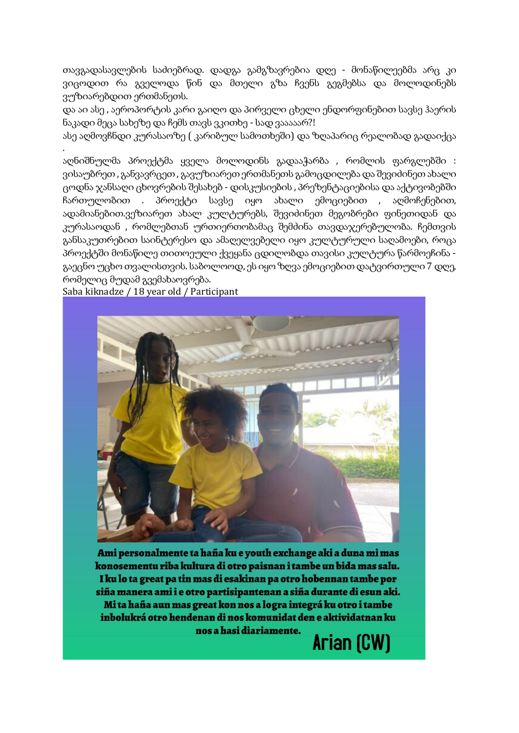თავგადასავლების საძიებრად. დადგა გამგზავრებია დღე - მონაწილეებმა არც კი ვიცოდით რა გველოდა წინ და მთელი გზა ჩვენს გეგმებსა და მოლოდინებს ვუზიარებდით ერთმანეთს.

და აი ასე , აეროპორტის კარი გაიღო და პირველი ცხელი ენდორფინებით სავსე ჰაერის ნაკადი მეცა სახეზე და ჩემს თავს ვკითხე - სად ვააააარ?!

ასე აღმოვჩნდი კურასაოზე ( კარიბულ სამოთხეში) და ზღაპარიც რეალობად გადაიქცა .

აღნიშნულმა პროექტმა ყველა მოლოდინს გადააჭარბა , რომლის ფარგლებში : ვისაუბრეთ , განვავრცეთ , გავუზიარეთ ერთმანეთს გამოცდილება და შევიძინეთ ახალი ცოდნა ჯანსაღი ცხოვრების შესახებ - დისკუსიების , პრეზენტაციებისა და აქტივობებში ჩართულობით . პროექტი სავსე იყო ახალი ემოციებით , აღმოჩენებით, ადამიანებით.ვეზიარეთ ახალ კულტურებს, შევიძინეთ მეგობრები ფინეთიდან და კურასაოდან , რომლებთან ურთიერთობამაც შემძინა თავდაჯერებულობა. ჩემთვის განსაკუთრებით საინტერესო და ამაღელვებელი იყო კულტურული საღამოები, როცა პროექტში მონაწილე თითოეული ქვეყანა ცდილობდა თავისი კულტურა წარმოეჩინა გაეცნო უცხო თვალისთვის. საბოლოოდ, ეს იყო ზღვა ემოციებით დატვირთული 7 დღე, რომელიც მუდამ გვემახაოვრება.

Saba kiknadze / 18 year old / Participant



Ami personalmente ta haña ku e youth exchange aki a duna mi mas konosementu riba kultura di otro paisnan i tambe un bida mas salu. I ku lo ta great pa tin mas di esakinan pa otro hobennan tambe por siña manera ami i e otro partisipantenan a siña durante di esun aki. Mi ta haña aun mas great kon nos a logra integrá ku otro i tambe inbolukrá otro hendenan di nos komunidat den e aktividatnan ku nos a hasi diariamente.

Arian (CW)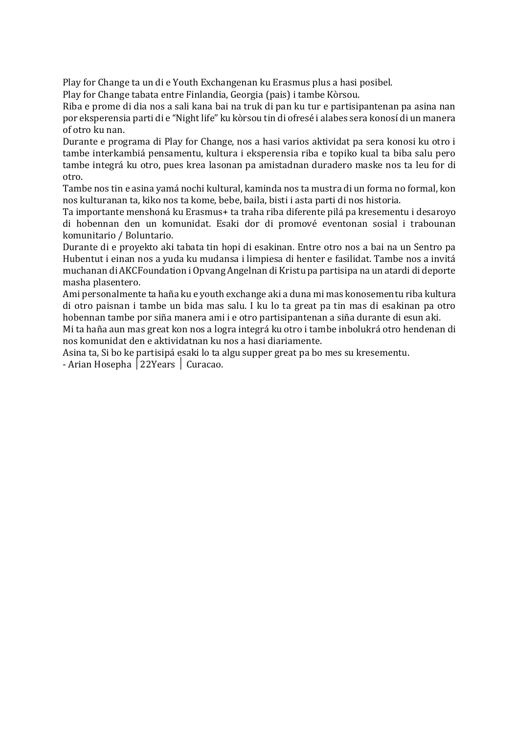Play for Change ta un di e Youth Exchangenan ku Erasmus plus a hasi posibel.

Play for Change tabata entre Finlandia, Georgia (pais) i tambe Kòrsou.

Riba e prome di dia nos a sali kana bai na truk di pan ku tur e partisipantenan pa asina nan por eksperensia parti di e "Night life" ku kòrsou tin di ofresé i alabes sera konosí di un manera of otro ku nan.

Durante e programa di Play for Change, nos a hasi varios aktividat pa sera konosi ku otro i tambe interkambiá pensamentu, kultura i eksperensia riba e topiko kual ta biba salu pero tambe integrá ku otro, pues krea lasonan pa amistadnan duradero maske nos ta leu for di otro.

Tambe nos tin e asina yamá nochi kultural, kaminda nos ta mustra di un forma no formal, kon nos kulturanan ta, kiko nos ta kome, bebe, baila, bisti i asta parti di nos historia.

Ta importante menshoná ku Erasmus+ ta traha riba diferente pilá pa kresementu i desaroyo di hobennan den un komunidat. Esaki dor di promové eventonan sosial i trabounan komunitario / Boluntario.

Durante di e proyekto aki tabata tin hopi di esakinan. Entre otro nos a bai na un Sentro pa Hubentut i einan nos a yuda ku mudansa i limpiesa di henter e fasilidat. Tambe nos a invitá muchanan di AKCFoundation i Opvang Angelnan di Kristu pa partisipa na un atardi di deporte masha plasentero.

Ami personalmente ta haña ku e youth exchange aki a duna mi mas konosementu riba kultura di otro paisnan i tambe un bida mas salu. I ku lo ta great pa tin mas di esakinan pa otro hobennan tambe por siña manera ami i e otro partisipantenan a siña durante di esun aki.

Mi ta haña aun mas great kon nos a logra integrá ku otro i tambe inbolukrá otro hendenan di nos komunidat den e aktividatnan ku nos a hasi diariamente.

Asina ta, Si bo ke partisipá esaki lo ta algu supper great pa bo mes su kresementu. - Arian Hosepha │22Years │ Curacao.